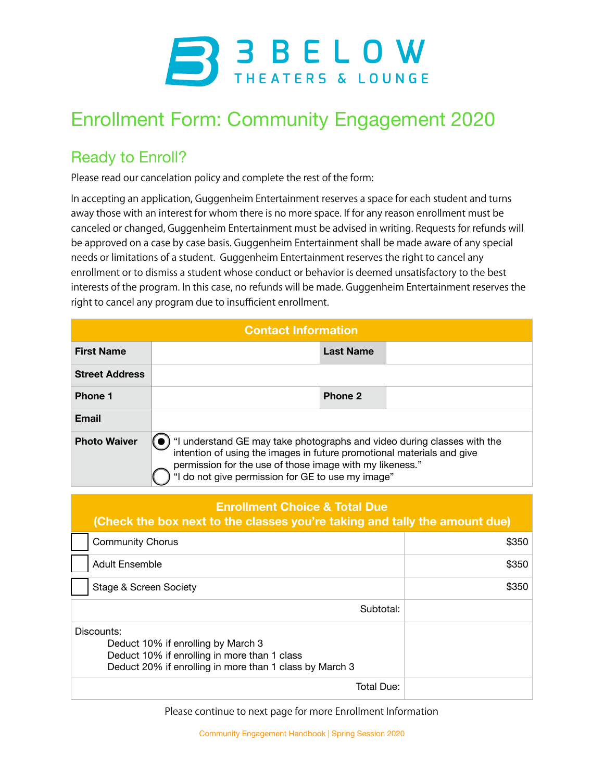

## Enrollment Form: Community Engagement 2020

## Ready to Enroll?

Please read our cancelation policy and complete the rest of the form:

In accepting an application, Guggenheim Entertainment reserves a space for each student and turns away those with an interest for whom there is no more space. If for any reason enrollment must be canceled or changed, Guggenheim Entertainment must be advised in writing. Requests for refunds will be approved on a case by case basis. Guggenheim Entertainment shall be made aware of any special needs or limitations of a student. Guggenheim Entertainment reserves the right to cancel any enrollment or to dismiss a student whose conduct or behavior is deemed unsatisfactory to the best interests of the program. In this case, no refunds will be made. Guggenheim Entertainment reserves the right to cancel any program due to insufficient enrollment.

| <b>Contact Information</b> |                                                                                                                                                                                                                                                                    |  |  |  |
|----------------------------|--------------------------------------------------------------------------------------------------------------------------------------------------------------------------------------------------------------------------------------------------------------------|--|--|--|
| <b>First Name</b>          | <b>Last Name</b>                                                                                                                                                                                                                                                   |  |  |  |
| <b>Street Address</b>      |                                                                                                                                                                                                                                                                    |  |  |  |
| <b>Phone 1</b>             | Phone 2                                                                                                                                                                                                                                                            |  |  |  |
| <b>Email</b>               |                                                                                                                                                                                                                                                                    |  |  |  |
| <b>Photo Waiver</b>        | "I understand GE may take photographs and video during classes with the<br>intention of using the images in future promotional materials and give<br>permission for the use of those image with my likeness."<br>"I do not give permission for GE to use my image" |  |  |  |

## **Enrollment Choice & Total Due**

| (Check the box next to the classes you're taking and tally the amount due)                                                                                  |       |  |
|-------------------------------------------------------------------------------------------------------------------------------------------------------------|-------|--|
| <b>Community Chorus</b>                                                                                                                                     | \$350 |  |
| <b>Adult Ensemble</b>                                                                                                                                       | \$350 |  |
| Stage & Screen Society                                                                                                                                      | \$350 |  |
| Subtotal:                                                                                                                                                   |       |  |
| Discounts:<br>Deduct 10% if enrolling by March 3<br>Deduct 10% if enrolling in more than 1 class<br>Deduct 20% if enrolling in more than 1 class by March 3 |       |  |
| Total Due:                                                                                                                                                  |       |  |

Please continue to next page for more Enrollment Information